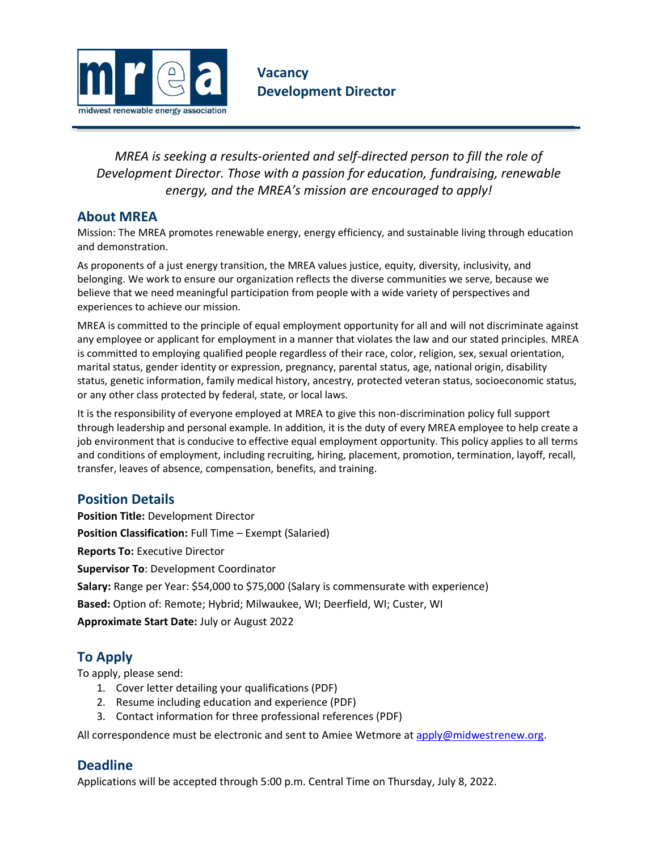

*MREA is seeking a results-oriented and self-directed person to fill the role of Development Director. Those with a passion for education, fundraising, renewable energy, and the MREA's mission are encouraged to apply!*

## **About MREA**

Mission: The MREA promotes renewable energy, energy efficiency, and sustainable living through education and demonstration.

As proponents of a just energy transition, the MREA values justice, equity, diversity, inclusivity, and belonging. We work to ensure our organization reflects the diverse communities we serve, because we believe that we need meaningful participation from people with a wide variety of perspectives and experiences to achieve our mission.

MREA is committed to the principle of equal employment opportunity for all and will not discriminate against any employee or applicant for employment in a manner that violates the law and our stated principles. MREA is committed to employing qualified people regardless of their race, color, religion, sex, sexual orientation, marital status, gender identity or expression, pregnancy, parental status, age, national origin, disability status, genetic information, family medical history, ancestry, protected veteran status, socioeconomic status, or any other class protected by federal, state, or local laws.

It is the responsibility of everyone employed at MREA to give this non-discrimination policy full support through leadership and personal example. In addition, it is the duty of every MREA employee to help create a job environment that is conducive to effective equal employment opportunity. This policy applies to all terms and conditions of employment, including recruiting, hiring, placement, promotion, termination, layoff, recall, transfer, leaves of absence, compensation, benefits, and training.

## **Position Details**

**Position Title:** Development Director **Position Classification:** Full Time – Exempt (Salaried) **Reports To:** Executive Director **Supervisor To**: Development Coordinator **Salary:** Range per Year: \$54,000 to \$75,000 (Salary is commensurate with experience) **Based:** Option of: Remote; Hybrid; Milwaukee, WI; Deerfield, WI; Custer, WI **Approximate Start Date:** July or August 2022

## **To Apply**

To apply, please send:

- 1. Cover letter detailing your qualifications (PDF)
- 2. Resume including education and experience (PDF)
- 3. Contact information for three professional references (PDF)

All correspondence must be electronic and sent to Amiee Wetmore a[t apply@midwestrenew.org.](mailto:apply@midwestrenew.org)

## **Deadline**

Applications will be accepted through 5:00 p.m. Central Time on Thursday, July 8, 2022.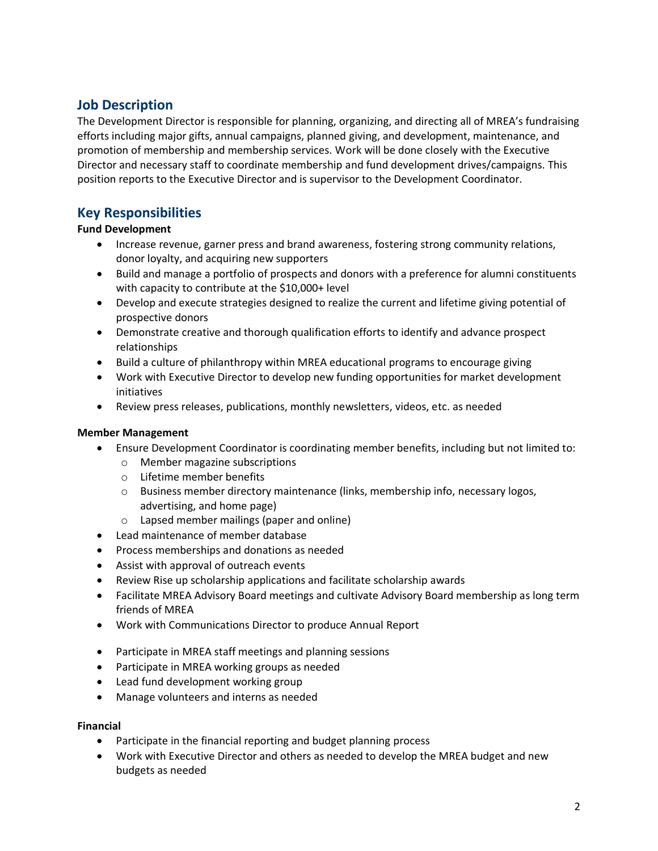# **Job Description**

The Development Director is responsible for planning, organizing, and directing all of MREA's fundraising efforts including major gifts, annual campaigns, planned giving, and development, maintenance, and promotion of membership and membership services. Work will be done closely with the Executive Director and necessary staff to coordinate membership and fund development drives/campaigns. This position reports to the Executive Director and is supervisor to the Development Coordinator.

## **Key Responsibilities**

### **Fund Development**

- Increase revenue, garner press and brand awareness, fostering strong community relations, donor loyalty, and acquiring new supporters
- Build and manage a portfolio of prospects and donors with a preference for alumni constituents with capacity to contribute at the \$10,000+ level
- Develop and execute strategies designed to realize the current and lifetime giving potential of prospective donors
- Demonstrate creative and thorough qualification efforts to identify and advance prospect relationships
- Build a culture of philanthropy within MREA educational programs to encourage giving
- Work with Executive Director to develop new funding opportunities for market development initiatives
- Review press releases, publications, monthly newsletters, videos, etc. as needed

### **Member Management**

- Ensure Development Coordinator is coordinating member benefits, including but not limited to:
	- o Member magazine subscriptions
	- o Lifetime member benefits
	- o Business member directory maintenance (links, membership info, necessary logos, advertising, and home page)
	- o Lapsed member mailings (paper and online)
- Lead maintenance of member database
- Process memberships and donations as needed
- Assist with approval of outreach events
- Review Rise up scholarship applications and facilitate scholarship awards
- Facilitate MREA Advisory Board meetings and cultivate Advisory Board membership as long term friends of MREA
- Work with Communications Director to produce Annual Report
- Participate in MREA staff meetings and planning sessions
- Participate in MREA working groups as needed
- Lead fund development working group
- Manage volunteers and interns as needed

### **Financial**

- Participate in the financial reporting and budget planning process
- Work with Executive Director and others as needed to develop the MREA budget and new budgets as needed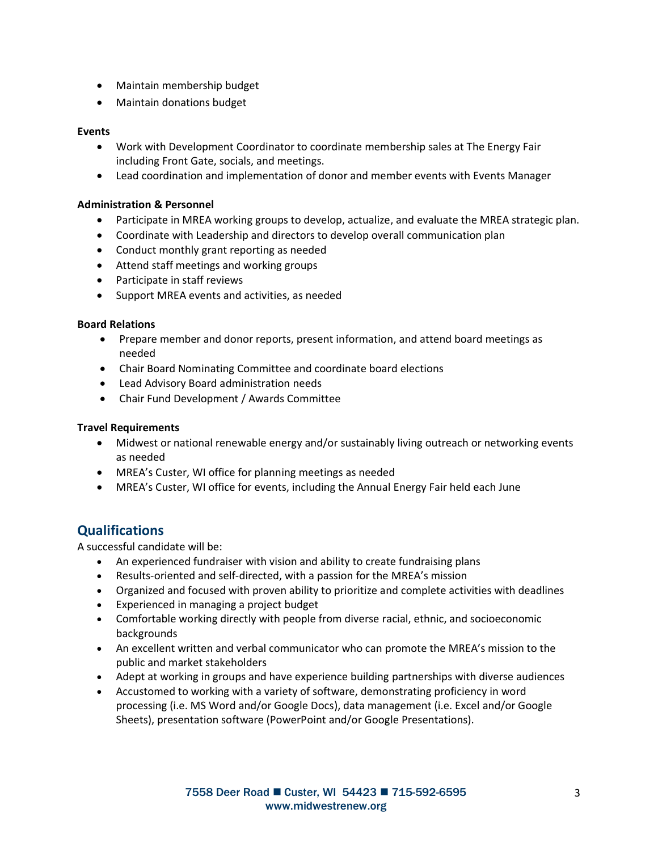- Maintain membership budget
- Maintain donations budget

#### **Events**

- Work with Development Coordinator to coordinate membership sales at The Energy Fair including Front Gate, socials, and meetings.
- Lead coordination and implementation of donor and member events with Events Manager

#### **Administration & Personnel**

- Participate in MREA working groups to develop, actualize, and evaluate the MREA strategic plan.
- Coordinate with Leadership and directors to develop overall communication plan
- Conduct monthly grant reporting as needed
- Attend staff meetings and working groups
- Participate in staff reviews
- Support MREA events and activities, as needed

#### **Board Relations**

- Prepare member and donor reports, present information, and attend board meetings as needed
- Chair Board Nominating Committee and coordinate board elections
- Lead Advisory Board administration needs
- Chair Fund Development / Awards Committee

#### **Travel Requirements**

- Midwest or national renewable energy and/or sustainably living outreach or networking events as needed
- MREA's Custer, WI office for planning meetings as needed
- MREA's Custer, WI office for events, including the Annual Energy Fair held each June

## **Qualifications**

A successful candidate will be:

- An experienced fundraiser with vision and ability to create fundraising plans
- Results-oriented and self-directed, with a passion for the MREA's mission
- Organized and focused with proven ability to prioritize and complete activities with deadlines
- Experienced in managing a project budget
- Comfortable working directly with people from diverse racial, ethnic, and socioeconomic backgrounds
- An excellent written and verbal communicator who can promote the MREA's mission to the public and market stakeholders
- Adept at working in groups and have experience building partnerships with diverse audiences
- Accustomed to working with a variety of software, demonstrating proficiency in word processing (i.e. MS Word and/or Google Docs), data management (i.e. Excel and/or Google Sheets), presentation software (PowerPoint and/or Google Presentations).